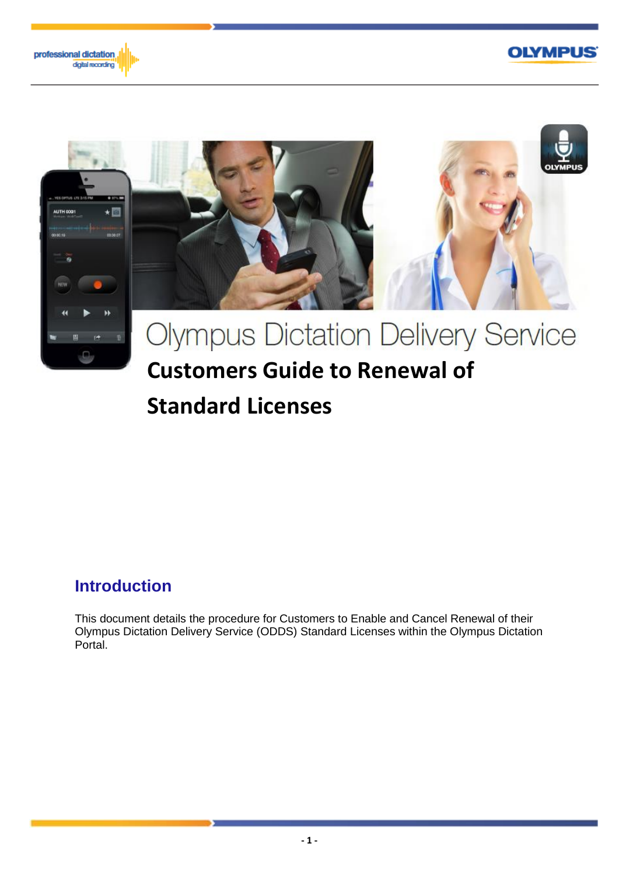





# **Standard Licenses**

# **Introduction**

This document details the procedure for Customers to Enable and Cancel Renewal of their Olympus Dictation Delivery Service (ODDS) Standard Licenses within the Olympus Dictation Portal.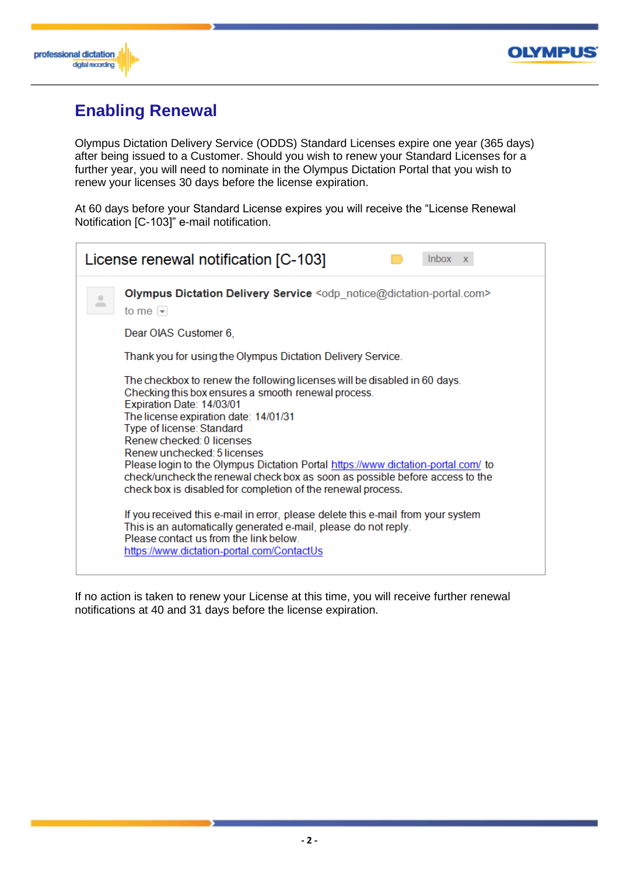



# **Enabling Renewal**

Olympus Dictation Delivery Service (ODDS) Standard Licenses expire one year (365 days) after being issued to a Customer. Should you wish to renew your Standard Licenses for a further year, you will need to nominate in the Olympus Dictation Portal that you wish to renew your licenses 30 days before the license expiration.

At 60 days before your Standard License expires you will receive the "License Renewal Notification [C-103]" e-mail notification.

| License renewal notification [C-103]<br><b>Inbox</b><br>$\mathbf{x}$ |                                                                                                                                                                                                                                                                                                                                                                                                                                                                                                                                                                                                                                                                                                                                                                                     |  |  |  |  |
|----------------------------------------------------------------------|-------------------------------------------------------------------------------------------------------------------------------------------------------------------------------------------------------------------------------------------------------------------------------------------------------------------------------------------------------------------------------------------------------------------------------------------------------------------------------------------------------------------------------------------------------------------------------------------------------------------------------------------------------------------------------------------------------------------------------------------------------------------------------------|--|--|--|--|
|                                                                      | Olympus Dictation Delivery Service <odp_notice@dictation-portal.com><br/>to me <math>\vert \mathbf{v} \vert</math></odp_notice@dictation-portal.com>                                                                                                                                                                                                                                                                                                                                                                                                                                                                                                                                                                                                                                |  |  |  |  |
|                                                                      | Dear OIAS Customer 6,                                                                                                                                                                                                                                                                                                                                                                                                                                                                                                                                                                                                                                                                                                                                                               |  |  |  |  |
|                                                                      | Thank you for using the Olympus Dictation Delivery Service.                                                                                                                                                                                                                                                                                                                                                                                                                                                                                                                                                                                                                                                                                                                         |  |  |  |  |
|                                                                      | The checkbox to renew the following licenses will be disabled in 60 days.<br>Checking this box ensures a smooth renewal process.<br>Expiration Date: 14/03/01<br>The license expiration date: 14/01/31<br>Type of license: Standard<br>Renew checked: 0 licenses<br>Renew unchecked: 5 licenses<br>Please login to the Olympus Dictation Portal https://www.dictation-portal.com/ to<br>check/uncheck the renewal check box as soon as possible before access to the<br>check box is disabled for completion of the renewal process.<br>If you received this e-mail in error, please delete this e-mail from your system<br>This is an automatically generated e-mail, please do not reply.<br>Please contact us from the link below.<br>https://www.dictation-portal.com/ContactUs |  |  |  |  |

If no action is taken to renew your License at this time, you will receive further renewal notifications at 40 and 31 days before the license expiration.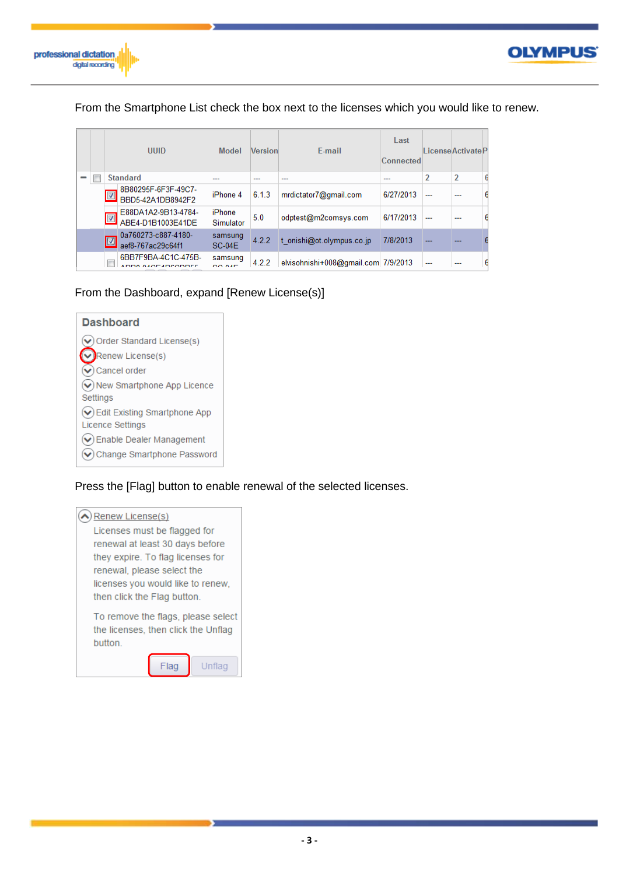



### From the Smartphone List check the box next to the licenses which you would like to renew.

|   | <b>UUID</b> |                                          | Model               | <b>Version</b> | E-mail                              | Last<br>Connected |                | LicenseActivateP |  |
|---|-------------|------------------------------------------|---------------------|----------------|-------------------------------------|-------------------|----------------|------------------|--|
| - |             | <b>Standard</b>                          |                     | ---            | ---                                 | ---               | $\overline{2}$ | $\overline{2}$   |  |
|   | Ø           | 8B80295F-6F3F-49C7-<br>BBD5-42A1DB8942F2 | iPhone 4            | 6.1.3          | mrdictator7@gmail.com               | 6/27/2013         | ---            | ---              |  |
|   | Ø           | E88DA1A2-9B13-4784-<br>ABE4-D1B1003E41DE | iPhone<br>Simulator | 5.0            | odptest@m2comsys.com                | 6/17/2013         | ---            | ---              |  |
|   |             | 0a760273-c887-4180-<br>aef8-767ac29c64f1 | samsung<br>$SC-04F$ | 4.2.2          | t onishi@ot.olympus.co.jp           | 7/8/2013          |                |                  |  |
|   | $\Box$      | 6BB7F9BA-4C1C-475B-<br>DDA ALOF HDCODDEE | samsung<br>OO ALD   | 4.2.2          | elvisohnishi+008@gmail.com 7/9/2013 |                   | ---            |                  |  |

### From the Dashboard, expand [Renew License(s)]

| <b>Dashboard</b>                                                                 |
|----------------------------------------------------------------------------------|
| $(v)$ Order Standard License(s)                                                  |
| Renew License(s)                                                                 |
| $\left(\right.\right)$ Cancel order                                              |
| $\left(\right.\hspace{-1.5pt}\mathbf{\bullet}\right)$ New Smartphone App Licence |
| Settings                                                                         |
| $\left(\right.\hspace{-1.5pt}\bullet\right)$ Edit Existing Smartphone App        |
| <b>Licence Settings</b>                                                          |
| $\left(\right.\hspace{-1.5mm}\bullet\right)$ Enable Dealer Management            |
| Change Smartphone Password                                                       |

### Press the [Flag] button to enable renewal of the selected licenses.

| Renew License(s)                                                                     |  |  |  |  |  |  |  |
|--------------------------------------------------------------------------------------|--|--|--|--|--|--|--|
| Licenses must be flagged for                                                         |  |  |  |  |  |  |  |
| renewal at least 30 days before                                                      |  |  |  |  |  |  |  |
| they expire. To flag licenses for                                                    |  |  |  |  |  |  |  |
| renewal, please select the                                                           |  |  |  |  |  |  |  |
| licenses you would like to renew.                                                    |  |  |  |  |  |  |  |
| then click the Flag button.                                                          |  |  |  |  |  |  |  |
| To remove the flags, please select<br>the licenses, then click the Unflag<br>button. |  |  |  |  |  |  |  |
| Unflag                                                                               |  |  |  |  |  |  |  |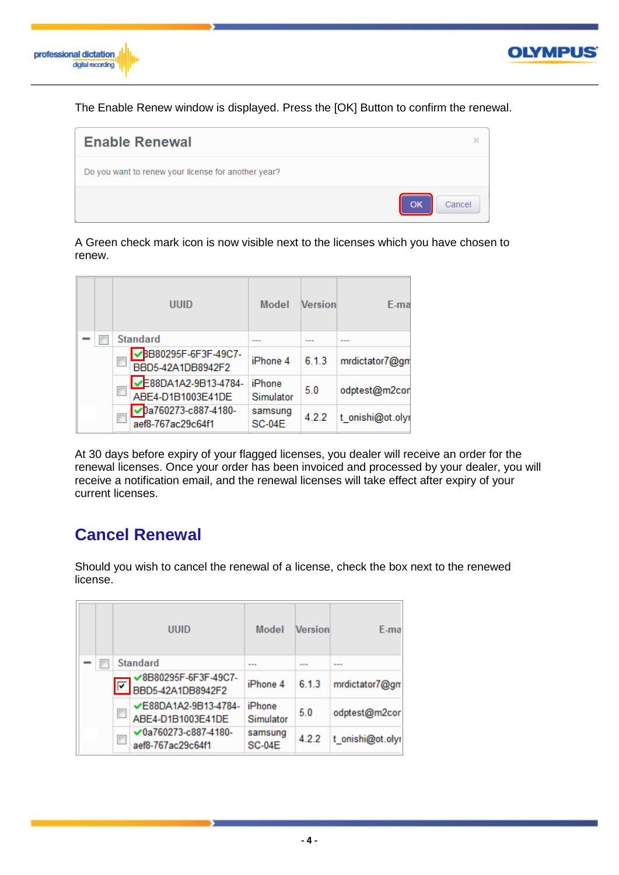



The Enable Renew window is displayed. Press the [OK] Button to confirm the renewal.



A Green check mark icon is now visible next to the licenses which you have chosen to renew.

|  | <b>UUID</b>                               | Model                    | <b>Version</b> | E-ma             |
|--|-------------------------------------------|--------------------------|----------------|------------------|
|  | <b>Standard</b>                           | ---                      | ---            | ---              |
|  | BB80295F-6F3F-49C7-<br>BBD5-42A1DB8942F2  | iPhone 4                 | 6.1.3          | mrdictator7@gm   |
|  | -E88DA1A2-9B13-4784-<br>ABE4-D1B1003E41DE | iPhone<br>Simulator      | 5.0            | odptest@m2cor    |
|  | √pa760273-c887-4180-<br>aef8-767ac29c64f1 | samsung<br><b>SC-04E</b> | 4.2.2          | t_onishi@ot.olyr |

At 30 days before expiry of your flagged licenses, you dealer will receive an order for the renewal licenses. Once your order has been invoiced and processed by your dealer, you will receive a notification email, and the renewal licenses will take effect after expiry of your current licenses.

# **Cancel Renewal**

Should you wish to cancel the renewal of a license, check the box next to the renewed license.

|  |                     | UUID                                            | Model                    | Version | E-ma             |
|--|---------------------|-------------------------------------------------|--------------------------|---------|------------------|
|  |                     | <b>Standard</b>                                 | ---                      | ---     | ---              |
|  | $\overline{\nabla}$ | ✔8B80295F-6F3F-49C7-<br>BBD5-42A1DB8942F2       | iPhone 4                 | 6.1.3   | mrdictator7@gm   |
|  | €                   | ✔E88DA1A2-9B13-4784-<br>ABE4-D1B1003E41DE       | iPhone<br>Simulator      | 5.0     | odptest@m2cor    |
|  | $\Box$              | $\vee$ 0a760273-c887-4180-<br>aef8-767ac29c64f1 | samsung<br><b>SC-04E</b> | 4.2.2   | t_onishi@ot.olyr |